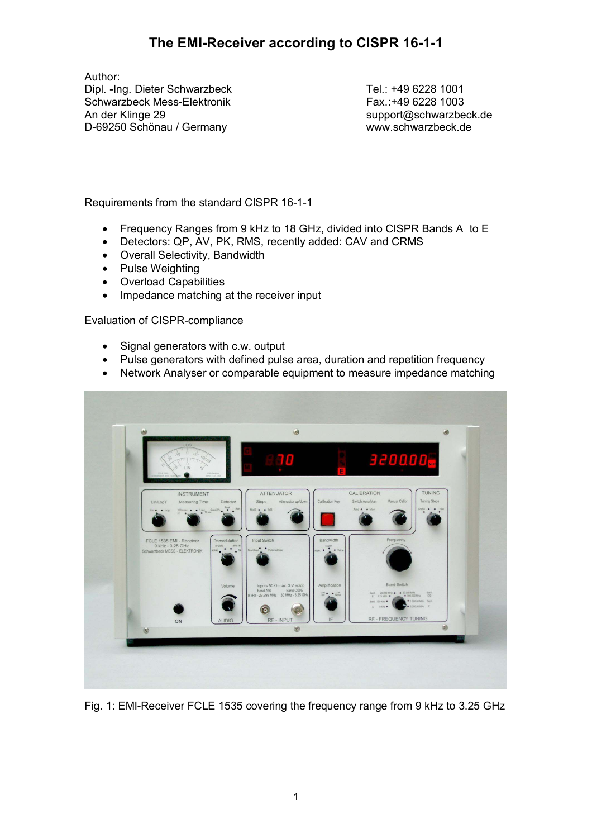Author: Dipl. -Ing. Dieter Schwarzbeck Schwarzbeck Mess-Elektronik An der Klinge 29 D-69250 Schönau / Germany

 Tel.: +49 6228 1001 Fax.:+49 6228 1003 support@schwarzbeck.de www.schwarzbeck.de

Requirements from the standard CISPR 16-1-1

- Frequency Ranges from 9 kHz to 18 GHz, divided into CISPR Bands A to E
- Detectors: QP, AV, PK, RMS, recently added: CAV and CRMS
- Overall Selectivity, Bandwidth
- Pulse Weighting
- Overload Capabilities
- Impedance matching at the receiver input

Evaluation of CISPR-compliance

- Signal generators with c.w. output
- Pulse generators with defined pulse area, duration and repetition frequency
- Network Analyser or comparable equipment to measure impedance matching



Fig. 1: EMI-Receiver FCLE 1535 covering the frequency range from 9 kHz to 3.25 GHz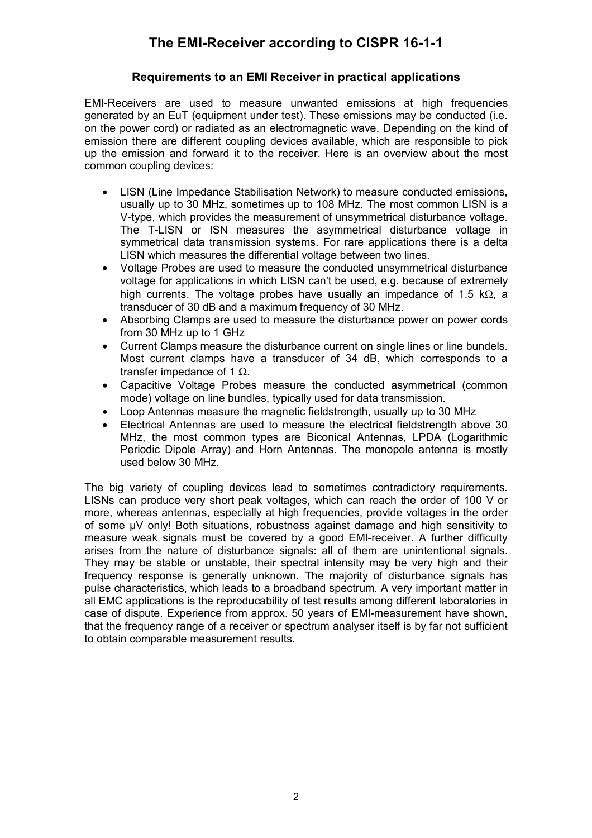#### **Requirements to an EMI Receiver in practical applications**

EMI-Receivers are used to measure unwanted emissions at high frequencies generated by an EuT (equipment under test). These emissions may be conducted (i.e. on the power cord) or radiated as an electromagnetic wave. Depending on the kind of emission there are different coupling devices available, which are responsible to pick up the emission and forward it to the receiver. Here is an overview about the most common coupling devices:

- LISN (Line Impedance Stabilisation Network) to measure conducted emissions, usually up to 30 MHz, sometimes up to 108 MHz. The most common LISN is a V-type, which provides the measurement of unsymmetrical disturbance voltage. The T-LISN or ISN measures the asymmetrical disturbance voltage in symmetrical data transmission systems. For rare applications there is a delta LISN which measures the differential voltage between two lines.
- Voltage Probes are used to measure the conducted unsymmetrical disturbance voltage for applications in which LISN can't be used, e.g. because of extremely high currents. The voltage probes have usually an impedance of 1.5 kΩ, a transducer of 30 dB and a maximum frequency of 30 MHz.
- Absorbing Clamps are used to measure the disturbance power on power cords from 30 MHz up to 1 GHz
- Current Clamps measure the disturbance current on single lines or line bundels. Most current clamps have a transducer of 34 dB, which corresponds to a transfer impedance of 1  $Ω$ .
- Capacitive Voltage Probes measure the conducted asymmetrical (common mode) voltage on line bundles, typically used for data transmission.
- Loop Antennas measure the magnetic fieldstrength, usually up to 30 MHz
- Electrical Antennas are used to measure the electrical fieldstrength above 30 MHz, the most common types are Biconical Antennas, LPDA (Logarithmic Periodic Dipole Array) and Horn Antennas. The monopole antenna is mostly used below 30 MHz.

The big variety of coupling devices lead to sometimes contradictory requirements. LISNs can produce very short peak voltages, which can reach the order of 100 V or more, whereas antennas, especially at high frequencies, provide voltages in the order of some µV only! Both situations, robustness against damage and high sensitivity to measure weak signals must be covered by a good EMI-receiver. A further difficulty arises from the nature of disturbance signals: all of them are unintentional signals. They may be stable or unstable, their spectral intensity may be very high and their frequency response is generally unknown. The majority of disturbance signals has pulse characteristics, which leads to a broadband spectrum. A very important matter in all EMC applications is the reproducability of test results among different laboratories in case of dispute. Experience from approx. 50 years of EMI-measurement have shown, that the frequency range of a receiver or spectrum analyser itself is by far not sufficient to obtain comparable measurement results.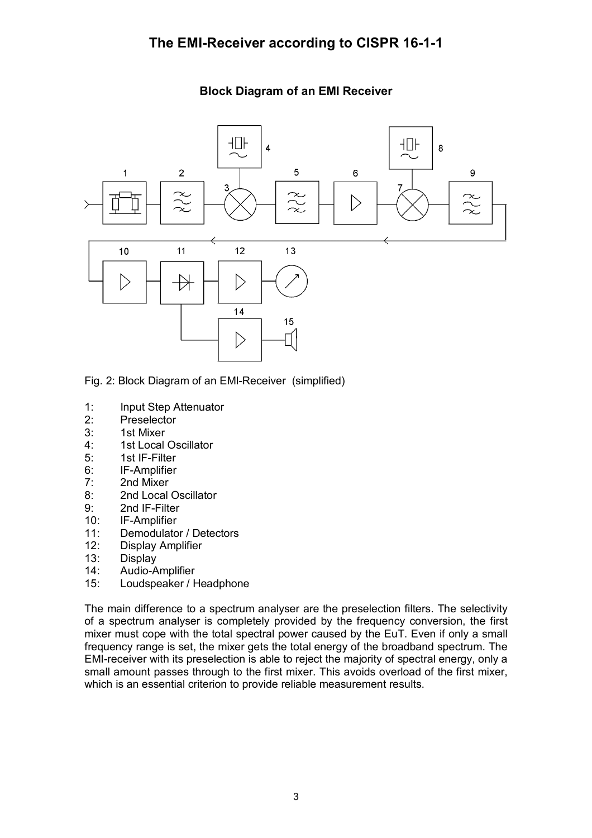#### ⊣D⊦  $\Pi$  $\overline{8}$  $\overline{4}$ 5  $\overline{1}$  $\overline{2}$ 9 6 ٩ 7  $\widetilde{\mathcal{X}}$  $\approx$  $\triangleright$  $\sim$  $11$  $12$  $13$  $10$  $\triangleright$ ♭  $14$ 15 U.  $\triangleright$

#### **Block Diagram of an EMI Receiver**

- Fig. 2: Block Diagram of an EMI-Receiver (simplified)
- 1: Input Step Attenuator
- 2: Preselector
- 3: 1st Mixer
- 4: 1st Local Oscillator
- 5: 1st IF-Filter
- 6: IF-Amplifier
- 7: 2nd Mixer
- 8: 2nd Local Oscillator
- 9: 2nd IF-Filter
- 10: IF-Amplifier
- 11: Demodulator / Detectors
- 12: Display Amplifier
- 13: Display
- 14: Audio-Amplifier
- 15: Loudspeaker / Headphone

The main difference to a spectrum analyser are the preselection filters. The selectivity of a spectrum analyser is completely provided by the frequency conversion, the first mixer must cope with the total spectral power caused by the EuT. Even if only a small frequency range is set, the mixer gets the total energy of the broadband spectrum. The EMI-receiver with its preselection is able to reject the majority of spectral energy, only a small amount passes through to the first mixer. This avoids overload of the first mixer, which is an essential criterion to provide reliable measurement results.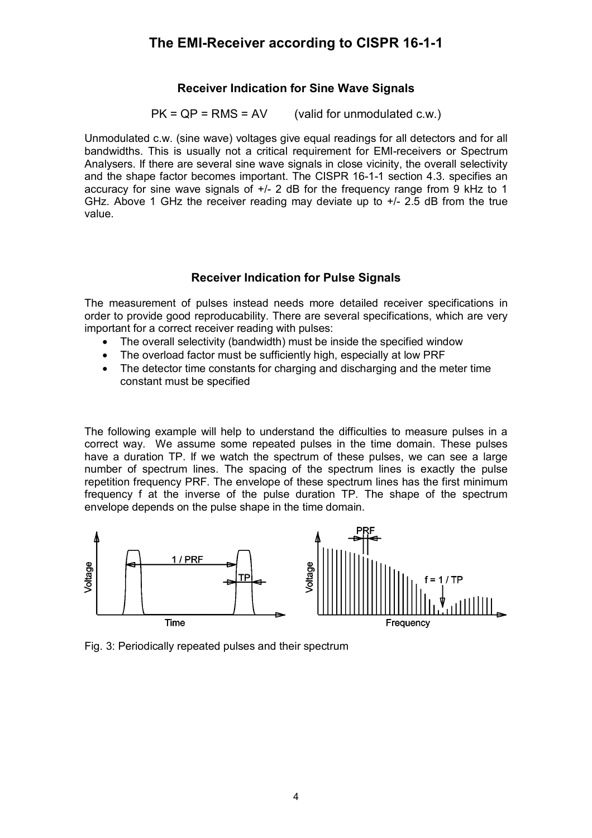### **Receiver Indication for Sine Wave Signals**

 $PK = QP = RMS = AV$  (valid for unmodulated c.w.)

Unmodulated c.w. (sine wave) voltages give equal readings for all detectors and for all bandwidths. This is usually not a critical requirement for EMI-receivers or Spectrum Analysers. If there are several sine wave signals in close vicinity, the overall selectivity and the shape factor becomes important. The CISPR 16-1-1 section 4.3. specifies an accuracy for sine wave signals of +/- 2 dB for the frequency range from 9 kHz to 1 GHz. Above 1 GHz the receiver reading may deviate up to  $+/- 2.5$  dB from the true value.

#### **Receiver Indication for Pulse Signals**

The measurement of pulses instead needs more detailed receiver specifications in order to provide good reproducability. There are several specifications, which are very important for a correct receiver reading with pulses:

- The overall selectivity (bandwidth) must be inside the specified window
- The overload factor must be sufficiently high, especially at low PRF
- The detector time constants for charging and discharging and the meter time constant must be specified

The following example will help to understand the difficulties to measure pulses in a correct way. We assume some repeated pulses in the time domain. These pulses have a duration TP. If we watch the spectrum of these pulses, we can see a large number of spectrum lines. The spacing of the spectrum lines is exactly the pulse repetition frequency PRF. The envelope of these spectrum lines has the first minimum frequency f at the inverse of the pulse duration TP. The shape of the spectrum envelope depends on the pulse shape in the time domain.



Fig. 3: Periodically repeated pulses and their spectrum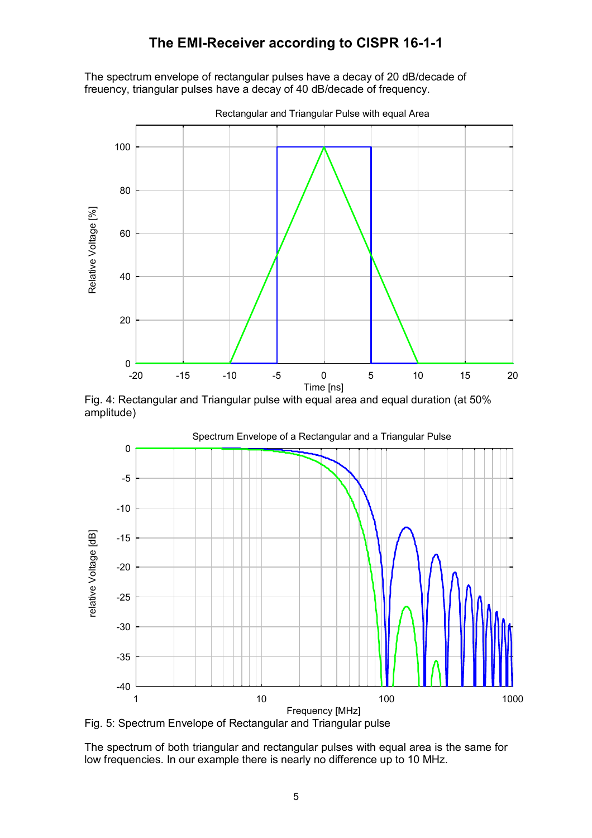The spectrum envelope of rectangular pulses have a decay of 20 dB/decade of freuency, triangular pulses have a decay of 40 dB/decade of frequency.



Fig. 4: Rectangular and Triangular pulse with equal area and equal duration (at 50% amplitude)



Fig. 5: Spectrum Envelope of Rectangular and Triangular pulse

The spectrum of both triangular and rectangular pulses with equal area is the same for low frequencies. In our example there is nearly no difference up to 10 MHz.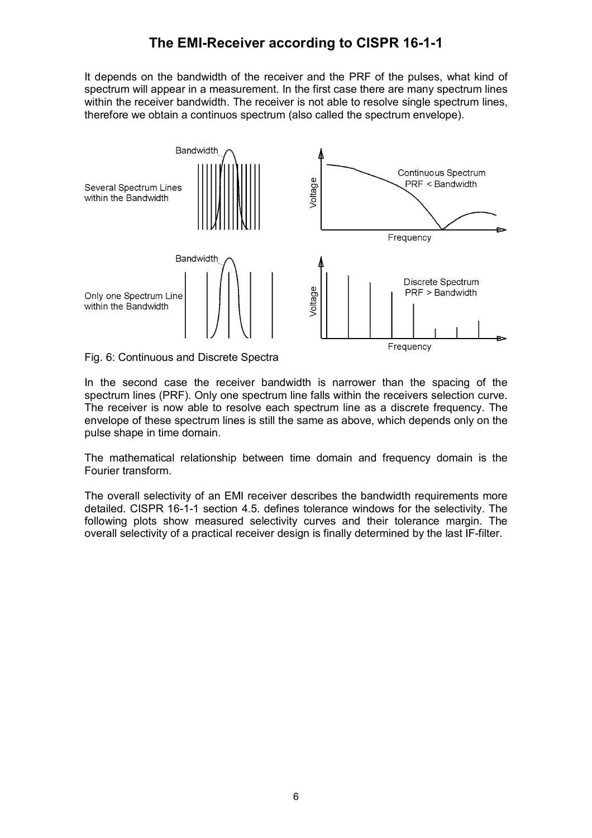It depends on the bandwidth of the receiver and the PRF of the pulses, what kind of spectrum will appear in a measurement. In the first case there are many spectrum lines within the receiver bandwidth. The receiver is not able to resolve single spectrum lines, therefore we obtain a continuos spectrum (also called the spectrum envelope).



Fig. 6: Continuous and Discrete Spectra

In the second case the receiver bandwidth is narrower than the spacing of the spectrum lines (PRF). Only one spectrum line falls within the receivers selection curve. The receiver is now able to resolve each spectrum line as a discrete frequency. The envelope of these spectrum lines is still the same as above, which depends only on the pulse shape in time domain.

The mathematical relationship between time domain and frequency domain is the Fourier transform.

The overall selectivity of an EMI receiver describes the bandwidth requirements more detailed. CISPR 16-1-1 section 4.5. defines tolerance windows for the selectivity. The following plots show measured selectivity curves and their tolerance margin. The overall selectivity of a practical receiver design is finally determined by the last IF-filter.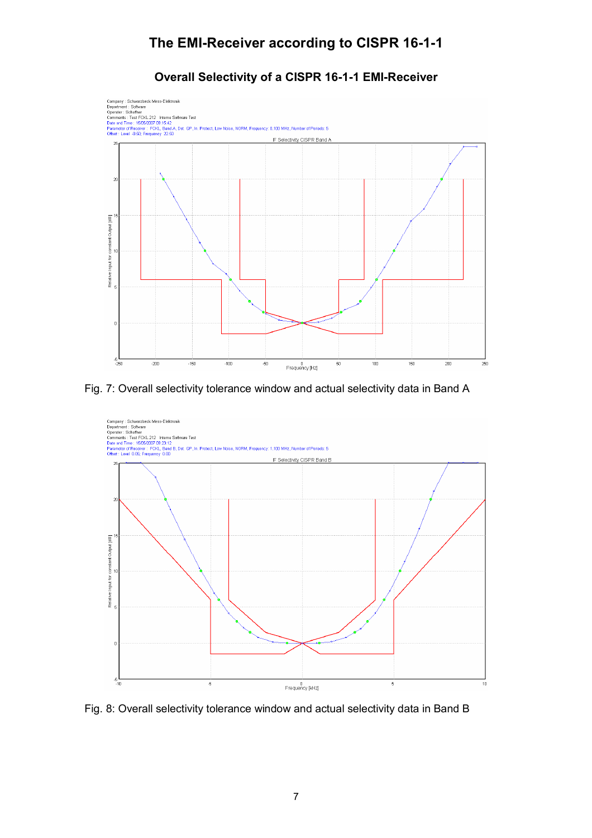### **Overall Selectivity of a CISPR 16-1-1 EMI-Receiver**



Fig. 7: Overall selectivity tolerance window and actual selectivity data in Band A



Fig. 8: Overall selectivity tolerance window and actual selectivity data in Band B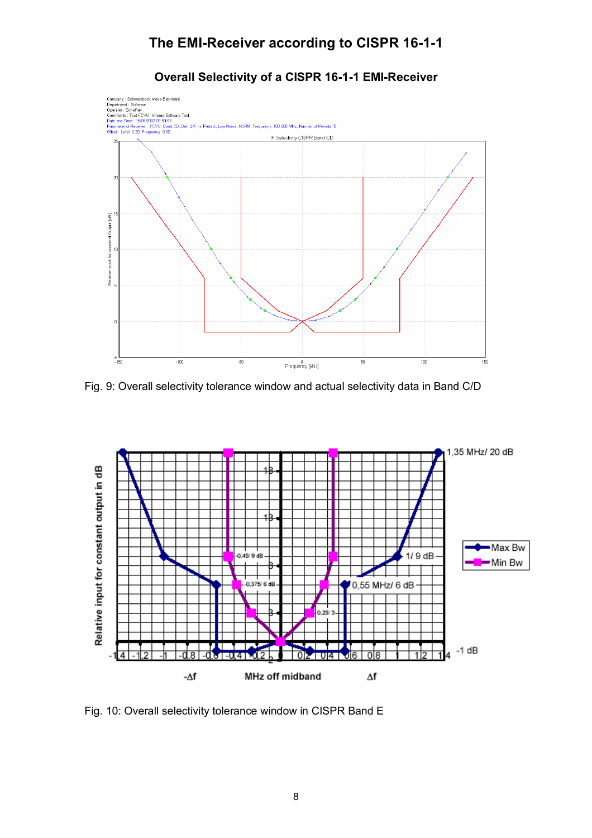



Fig. 9: Overall selectivity tolerance window and actual selectivity data in Band C/D



Fig. 10: Overall selectivity tolerance window in CISPR Band E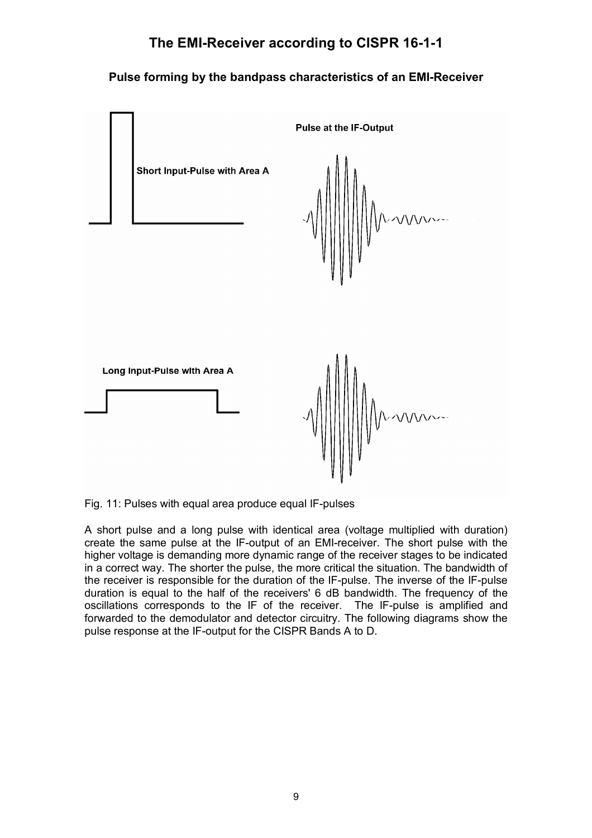### **Pulse forming by the bandpass characteristics of an EMI-Receiver**



Fig. 11: Pulses with equal area produce equal IF-pulses

A short pulse and a long pulse with identical area (voltage multiplied with duration) create the same pulse at the IF-output of an EMI-receiver. The short pulse with the higher voltage is demanding more dynamic range of the receiver stages to be indicated in a correct way. The shorter the pulse, the more critical the situation. The bandwidth of the receiver is responsible for the duration of the IF-pulse. The inverse of the IF-pulse duration is equal to the half of the receivers' 6 dB bandwidth. The frequency of the oscillations corresponds to the IF of the receiver. The IF-pulse is amplified and forwarded to the demodulator and detector circuitry. The following diagrams show the pulse response at the IF-output for the CISPR Bands A to D.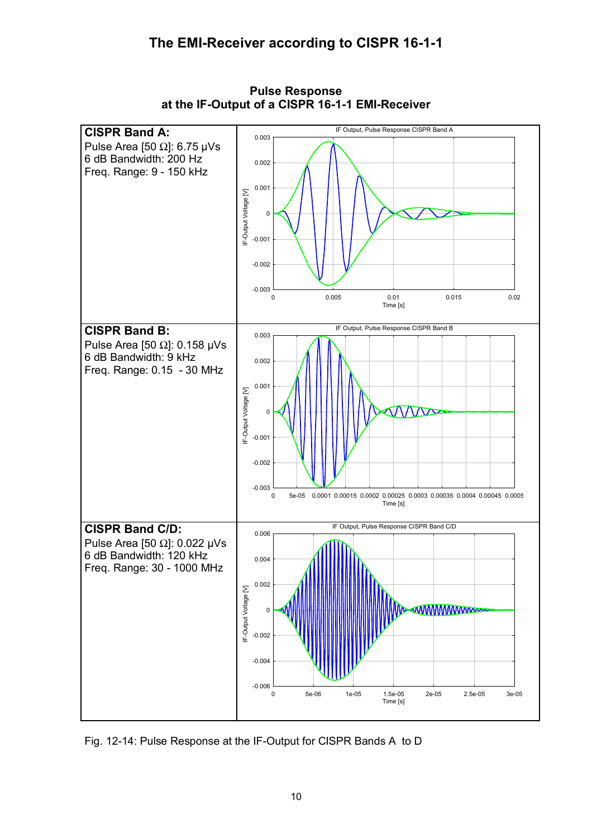

**Pulse Response at the IF-Output of a CISPR 16-1-1 EMI-Receiver**

Fig. 12-14: Pulse Response at the IF-Output for CISPR Bands A to D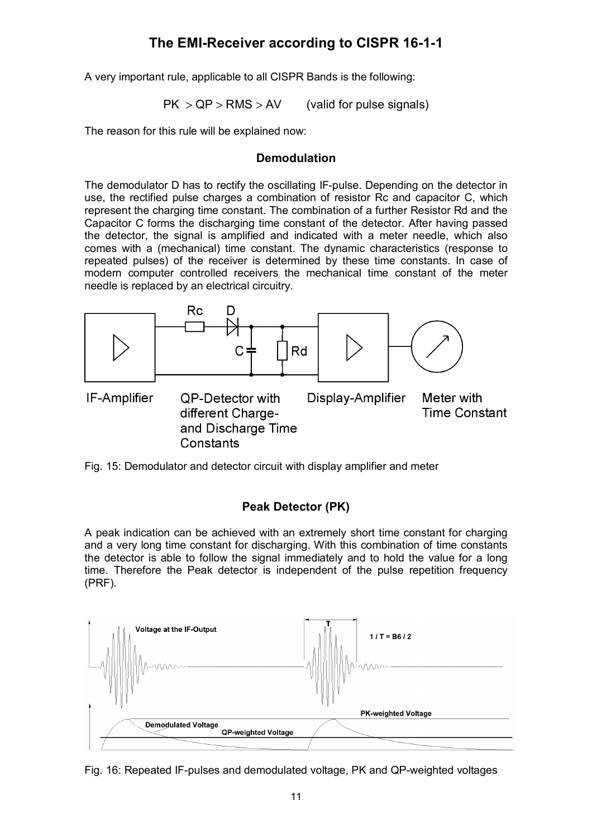A very important rule, applicable to all CISPR Bands is the following:

 $PK > QP > RMS > AV$  (valid for pulse signals)

The reason for this rule will be explained now:

#### **Demodulation**

The demodulator D has to rectify the oscillating IF-pulse. Depending on the detector in use, the rectified pulse charges a combination of resistor Rc and capacitor C, which represent the charging time constant. The combination of a further Resistor Rd and the Capacitor C forms the discharging time constant of the detector. After having passed the detector, the signal is amplified and indicated with a meter needle, which also comes with a (mechanical) time constant. The dynamic characteristics (response to repeated pulses) of the receiver is determined by these time constants. In case of modern computer controlled receivers the mechanical time constant of the meter needle is replaced by an electrical circuitry.



Fig. 15: Demodulator and detector circuit with display amplifier and meter

### **Peak Detector (PK)**

A peak indication can be achieved with an extremely short time constant for charging and a very long time constant for discharging. With this combination of time constants the detector is able to follow the signal immediately and to hold the value for a long time. Therefore the Peak detector is independent of the pulse repetition frequency (PRF).



Fig. 16: Repeated IF-pulses and demodulated voltage, PK and QP-weighted voltages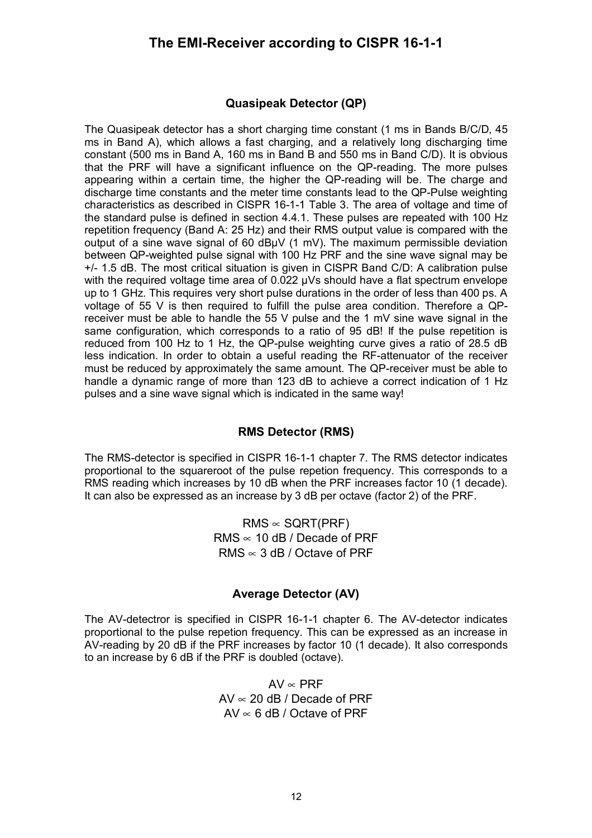#### **Quasipeak Detector (QP)**

The Quasipeak detector has a short charging time constant (1 ms in Bands B/C/D, 45 ms in Band A), which allows a fast charging, and a relatively long discharging time constant (500 ms in Band A, 160 ms in Band B and 550 ms in Band C/D). It is obvious that the PRF will have a significant influence on the QP-reading. The more pulses appearing within a certain time, the higher the QP-reading will be. The charge and discharge time constants and the meter time constants lead to the QP-Pulse weighting characteristics as described in CISPR 16-1-1 Table 3. The area of voltage and time of the standard pulse is defined in section 4.4.1. These pulses are repeated with 100 Hz repetition frequency (Band A: 25 Hz) and their RMS output value is compared with the output of a sine wave signal of 60 dBµV (1 mV). The maximum permissible deviation between QP-weighted pulse signal with 100 Hz PRF and the sine wave signal may be +/- 1.5 dB. The most critical situation is given in CISPR Band C/D: A calibration pulse with the required voltage time area of 0.022  $\mu$ Vs should have a flat spectrum envelope up to 1 GHz. This requires very short pulse durations in the order of less than 400 ps. A voltage of 55 V is then required to fulfill the pulse area condition. Therefore a QPreceiver must be able to handle the 55 V pulse and the 1 mV sine wave signal in the same configuration, which corresponds to a ratio of 95 dB! If the pulse repetition is reduced from 100 Hz to 1 Hz, the QP-pulse weighting curve gives a ratio of 28.5 dB less indication. In order to obtain a useful reading the RF-attenuator of the receiver must be reduced by approximately the same amount. The QP-receiver must be able to handle a dynamic range of more than 123 dB to achieve a correct indication of 1 Hz pulses and a sine wave signal which is indicated in the same way!

#### **RMS Detector (RMS)**

The RMS-detector is specified in CISPR 16-1-1 chapter 7. The RMS detector indicates proportional to the squareroot of the pulse repetion frequency. This corresponds to a RMS reading which increases by 10 dB when the PRF increases factor 10 (1 decade). It can also be expressed as an increase by 3 dB per octave (factor 2) of the PRF.

> $RMS \propto \text{SGRT(PRF)}$ RMS  $\approx$  10 dB / Decade of PRF RMS ∝ 3 dB / Octave of PRF

#### **Average Detector (AV)**

The AV-detectror is specified in CISPR 16-1-1 chapter 6. The AV-detector indicates proportional to the pulse repetion frequency. This can be expressed as an increase in AV-reading by 20 dB if the PRF increases by factor 10 (1 decade). It also corresponds to an increase by 6 dB if the PRF is doubled (octave).

> $AV \propto PRF$  $AV \propto 20$  dB / Decade of PRF  $AV \propto 6$  dB / Octave of PRF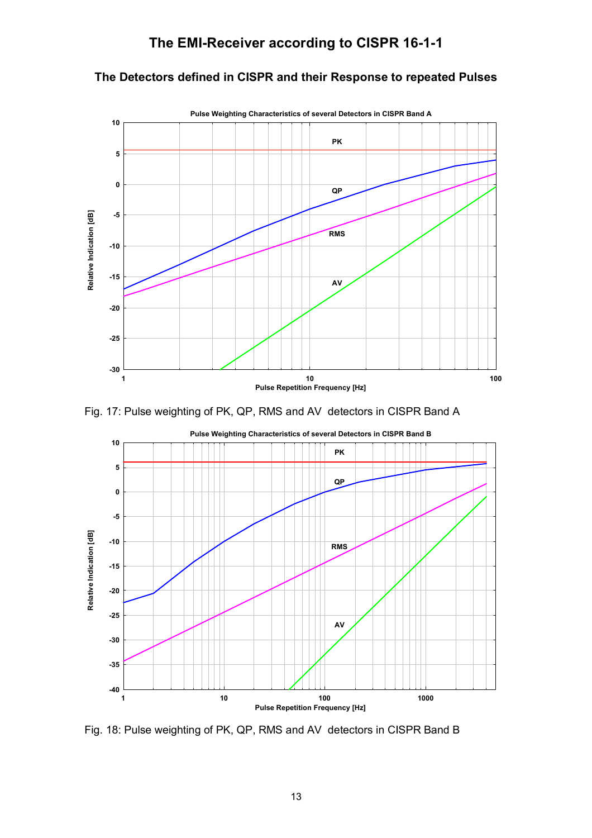### **The Detectors defined in CISPR and their Response to repeated Pulses**



Fig. 17: Pulse weighting of PK, QP, RMS and AV detectors in CISPR Band A



Fig. 18: Pulse weighting of PK, QP, RMS and AV detectors in CISPR Band B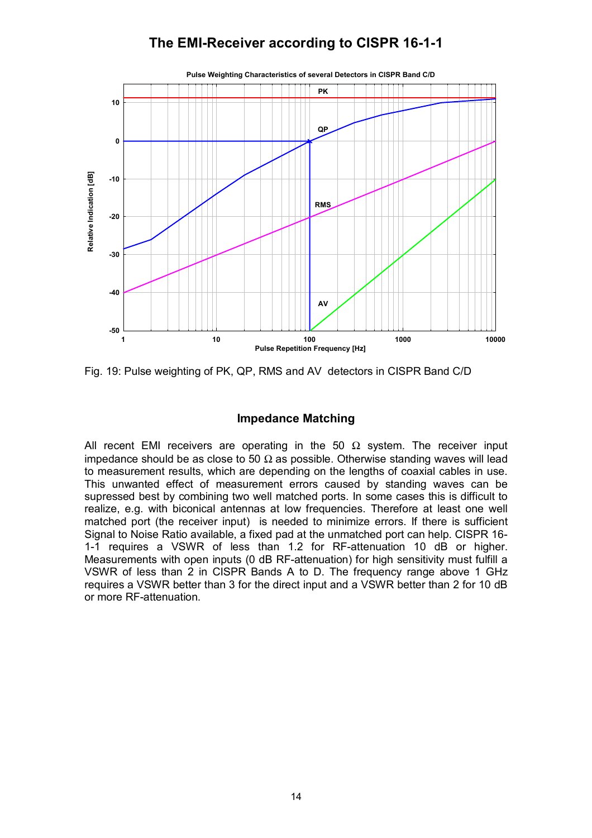

Fig. 19: Pulse weighting of PK, QP, RMS and AV detectors in CISPR Band C/D

### **Impedance Matching**

All recent EMI receivers are operating in the 50  $\Omega$  system. The receiver input impedance should be as close to 50  $\Omega$  as possible. Otherwise standing waves will lead to measurement results, which are depending on the lengths of coaxial cables in use. This unwanted effect of measurement errors caused by standing waves can be supressed best by combining two well matched ports. In some cases this is difficult to realize, e.g. with biconical antennas at low frequencies. Therefore at least one well matched port (the receiver input) is needed to minimize errors. If there is sufficient Signal to Noise Ratio available, a fixed pad at the unmatched port can help. CISPR 16- 1-1 requires a VSWR of less than 1.2 for RF-attenuation 10 dB or higher. Measurements with open inputs (0 dB RF-attenuation) for high sensitivity must fulfill a VSWR of less than 2 in CISPR Bands A to D. The frequency range above 1 GHz requires a VSWR better than 3 for the direct input and a VSWR better than 2 for 10 dB or more RF-attenuation.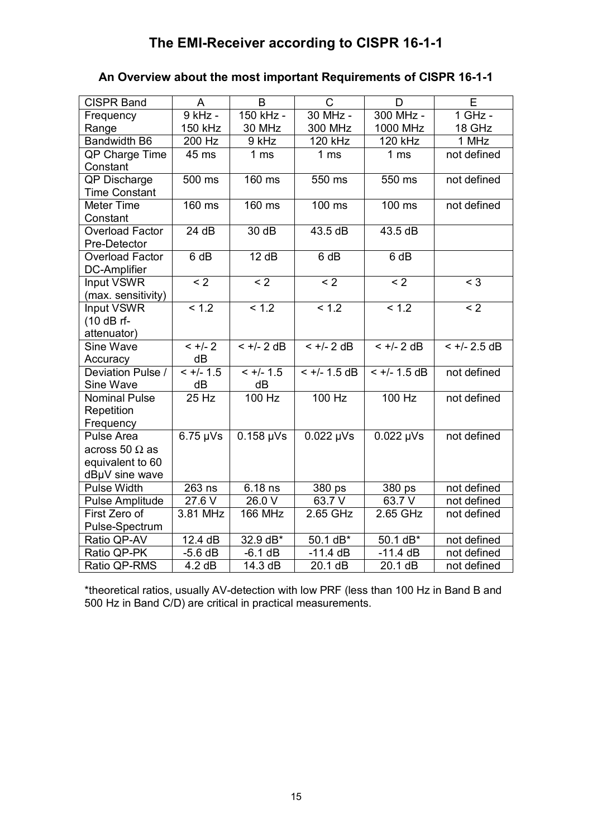# **An Overview about the most important Requirements of CISPR 16-1-1**

| <b>CISPR Band</b>              | A                   | B                                 | $\mathsf{C}$             | D                        | E              |
|--------------------------------|---------------------|-----------------------------------|--------------------------|--------------------------|----------------|
| Frequency                      | $9$ kHz -           | 150 kHz -                         | 30 MHz -                 | 300 MHz -                | 1 GHz -        |
| Range                          | 150 kHz             | 30 MHz                            | 300 MHz                  | 1000 MHz                 | 18 GHz         |
| Bandwidth B6                   | 200 Hz              | 9 kHz                             | 120 kHz                  | <b>120 kHz</b>           | 1 MHz          |
| QP Charge Time                 | 45 ms               | 1 <sub>ms</sub>                   | 1 <sub>ms</sub>          | 1 <sub>ms</sub>          | not defined    |
| Constant                       |                     |                                   |                          |                          |                |
| QP Discharge                   | $500$ ms            | $160$ ms                          | 550 ms                   | 550 ms                   | not defined    |
| <b>Time Constant</b>           |                     |                                   |                          |                          |                |
| <b>Meter Time</b>              | $160$ ms            | $160$ ms                          | $100$ ms                 | $100$ ms                 | not defined    |
| Constant                       |                     |                                   |                          |                          |                |
| <b>Overload Factor</b>         | 24 dB               | 30 dB                             | 43.5 dB                  | 43.5 dB                  |                |
| Pre-Detector                   |                     |                                   |                          |                          |                |
| <b>Overload Factor</b>         | 6 dB                | 12 dB                             | 6 dB                     | 6 dB                     |                |
| <b>DC-Amplifier</b>            |                     |                                   |                          |                          |                |
| Input VSWR                     | $\overline{2}$      | $\overline{2}$                    | $\overline{2}$           | $\overline{2}$           | $\overline{3}$ |
| (max. sensitivity)             |                     |                                   |                          |                          |                |
| Input VSWR                     | < 1.2               | < 1.2                             | < 1.2                    | < 1.2                    | $\overline{2}$ |
| (10 dB rf-                     |                     |                                   |                          |                          |                |
| attenuator)                    |                     |                                   |                          |                          |                |
| <b>Sine Wave</b>               | $< +/- 2$           | $< +/- 2$ dB                      | $< +/- 2$ dB             | $< +/- 2$ dB             | $< +/- 2.5$ dB |
| Accuracy                       | dB                  |                                   |                          |                          |                |
| Deviation Pulse /              | $< +/- 1.5$         | $< +/- 1.5$                       | $< +/- 1.5$ dB           | $< +/- 1.5$ dB           | not defined    |
| Sine Wave                      | dB                  | dB                                |                          |                          |                |
| <b>Nominal Pulse</b>           | 25 Hz               | $100$ Hz                          | $100$ Hz                 | 100 Hz                   | not defined    |
| Repetition                     |                     |                                   |                          |                          |                |
| Frequency<br><b>Pulse Area</b> | $6.75 \mu\text{Vs}$ | $0.158 \text{ \thinspace \mu Vs}$ | $0.022 \mu\text{Vs}$     | $0.022 \mu\text{Vs}$     | not defined    |
|                                |                     |                                   |                          |                          |                |
| across 50 $\Omega$ as          |                     |                                   |                          |                          |                |
| equivalent to 60               |                     |                                   |                          |                          |                |
| dBµV sine wave                 |                     |                                   |                          |                          |                |
| <b>Pulse Width</b>             | $\overline{263}$ ns | 6.18 ns                           | 380 ps                   | 380 ps                   | not defined    |
| <b>Pulse Amplitude</b>         | 27.6 V              | 26.0 V                            | 63.7 V                   | 63.7 V                   | not defined    |
| First Zero of                  | 3.81 MHz            | <b>166 MHz</b>                    | 2.65 GHz                 | 2.65 GHz                 | not defined    |
| Pulse-Spectrum                 |                     |                                   |                          |                          |                |
| Ratio QP-AV<br>Ratio QP-PK     | 12.4 dB             | 32.9 dB*<br>$-6.1$ dB             | $50.1 dB*$<br>$-11.4$ dB | $50.1 dB*$<br>$-11.4$ dB | not defined    |
|                                | $-5.6$ dB           |                                   |                          |                          | not defined    |
| Ratio QP-RMS                   | 4.2 dB              | 14.3 dB                           | 20.1 dB                  | 20.1 dB                  | not defined    |

\*theoretical ratios, usually AV-detection with low PRF (less than 100 Hz in Band B and 500 Hz in Band C/D) are critical in practical measurements.